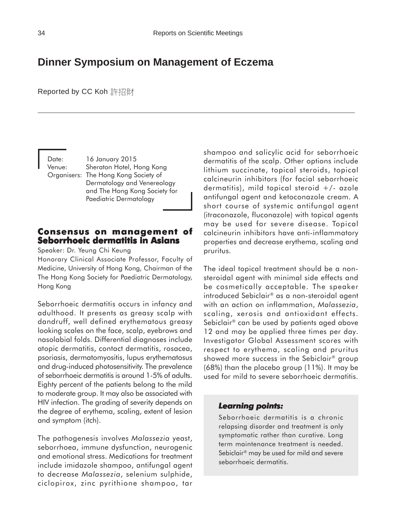# **Dinner Symposium on Management of Eczema**

Reported by CC Koh 許招財

Date: 16 January 2015 Venue: Sheraton Hotel, Hong Kong Organisers: The Hong Kong Society of Dermatology and Venereology and The Hong Kong Society for Paediatric Dermatology

## **Consensus on management of Consensus on of Seborrhoeic dermatitis in Asians**

Speaker: Dr. Yeung Chi Keung

Honorary Clinical Associate Professor, Faculty of Medicine, University of Hong Kong, Chairman of the The Hong Kong Society for Paediatric Dermatology, Hong Kong

Seborrhoeic dermatitis occurs in infancy and adulthood. It presents as greasy scalp with dandruff, well defined erythematous greasy looking scales on the face, scalp, eyebrows and nasolabial folds. Differential diagnoses include atopic dermatitis, contact dermatitis, rosacea, psoriasis, dermatomyositis, lupus erythematosus and drug-induced photosensitivity. The prevalence of seborrhoeic dermatitis is around 1-5% of adults. Eighty percent of the patients belong to the mild to moderate group. It may also be associated with HIV infection. The grading of severity depends on the degree of erythema, scaling, extent of lesion and symptom (itch).

The pathogenesis involves *Malassezia* yeast, seborrhoea, immune dysfunction, neurogenic and emotional stress. Medications for treatment include imidazole shampoo, antifungal agent to decrease *Malassezia*, selenium sulphide, ciclopirox, zinc pyrithione shampoo, tar

shampoo and salicylic acid for seborrhoeic dermatitis of the scalp. Other options include lithium succinate, topical steroids, topical calcineurin inhibitors (for facial seborrhoeic dermatitis), mild topical steroid  $+/$ - azole antifungal agent and ketoconazole cream. A short course of systemic antifungal agent (itraconazole, fluconazole) with topical agents may be used for severe disease. Topical calcineurin inhibitors have anti-inflammatory properties and decrease erythema, scaling and pruritus.

The ideal topical treatment should be a nonsteroidal agent with minimal side effects and be cosmetically acceptable. The speaker introduced Sebiclair® as a non-steroidal agent with an action on inflammation, *Malassezia*, scaling, xerosis and antioxidant effects. Sebiclair® can be used by patients aged above 12 and may be applied three times per day. Investigator Global Assessment scores with respect to erythema, scaling and pruritus showed more success in the Sebiclair® group (68%) than the placebo group (11%). It may be used for mild to severe seborrhoeic dermatitis.

#### *Learning points: Learning points:*

Seborrhoeic dermatitis is a chronic relapsing disorder and treatment is only symptomatic rather than curative. Long term maintenance treatment is needed. Sebiclair® may be used for mild and severe seborrhoeic dermatitis.